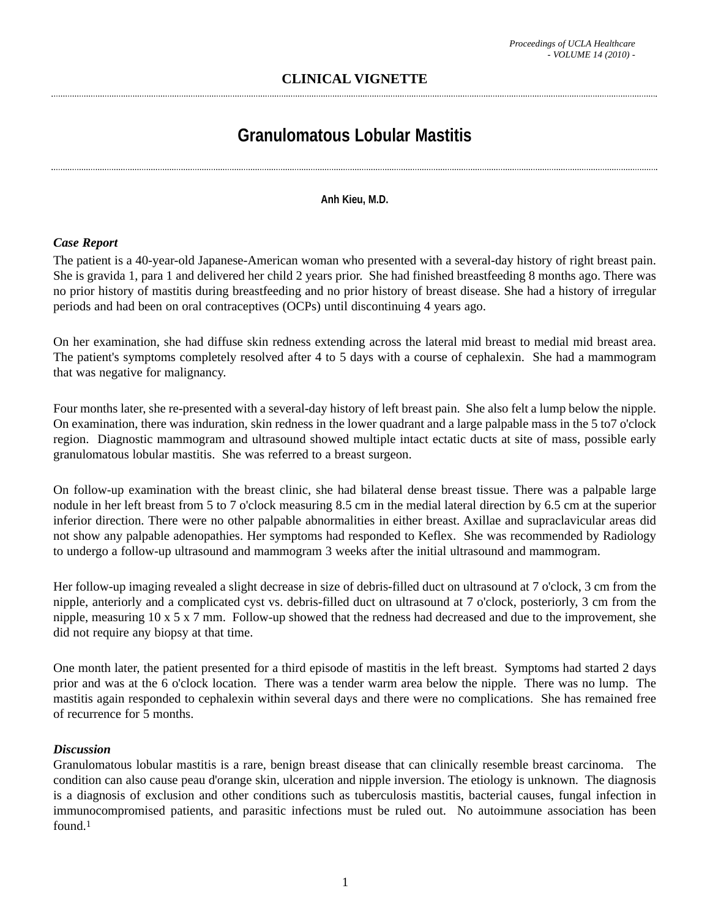# **CLINICAL VIGNETTE**

# **Granulomatous Lobular Mastitis**

#### **Anh Kieu, M.D.**

## *Case Report*

The patient is a 40-year-old Japanese-American woman who presented with a several-day history of right breast pain. She is gravida 1, para 1 and delivered her child 2 years prior. She had finished breastfeeding 8 months ago. There was no prior history of mastitis during breastfeeding and no prior history of breast disease. She had a history of irregular periods and had been on oral contraceptives (OCPs) until discontinuing 4 years ago.

On her examination, she had diffuse skin redness extending across the lateral mid breast to medial mid breast area. The patient's symptoms completely resolved after 4 to 5 days with a course of cephalexin. She had a mammogram that was negative for malignancy.

Four months later, she re-presented with a several-day history of left breast pain. She also felt a lump below the nipple. On examination, there was induration, skin redness in the lower quadrant and a large palpable mass in the 5 to7 o'clock region. Diagnostic mammogram and ultrasound showed multiple intact ectatic ducts at site of mass, possible early granulomatous lobular mastitis. She was referred to a breast surgeon.

On follow-up examination with the breast clinic, she had bilateral dense breast tissue. There was a palpable large nodule in her left breast from 5 to 7 o'clock measuring 8.5 cm in the medial lateral direction by 6.5 cm at the superior inferior direction. There were no other palpable abnormalities in either breast. Axillae and supraclavicular areas did not show any palpable adenopathies. Her symptoms had responded to Keflex. She was recommended by Radiology to undergo a follow-up ultrasound and mammogram 3 weeks after the initial ultrasound and mammogram.

Her follow-up imaging revealed a slight decrease in size of debris-filled duct on ultrasound at 7 o'clock, 3 cm from the nipple, anteriorly and a complicated cyst vs. debris-filled duct on ultrasound at 7 o'clock, posteriorly, 3 cm from the nipple, measuring 10 x 5 x 7 mm. Follow-up showed that the redness had decreased and due to the improvement, she did not require any biopsy at that time.

One month later, the patient presented for a third episode of mastitis in the left breast. Symptoms had started 2 days prior and was at the 6 o'clock location. There was a tender warm area below the nipple. There was no lump. The mastitis again responded to cephalexin within several days and there were no complications. She has remained free of recurrence for 5 months.

## *Discussion*

Granulomatous lobular mastitis is a rare, benign breast disease that can clinically resemble breast carcinoma. The condition can also cause peau d'orange skin, ulceration and nipple inversion. The etiology is unknown. The diagnosis is a diagnosis of exclusion and other conditions such as tuberculosis mastitis, bacterial causes, fungal infection in immunocompromised patients, and parasitic infections must be ruled out. No autoimmune association has been found.1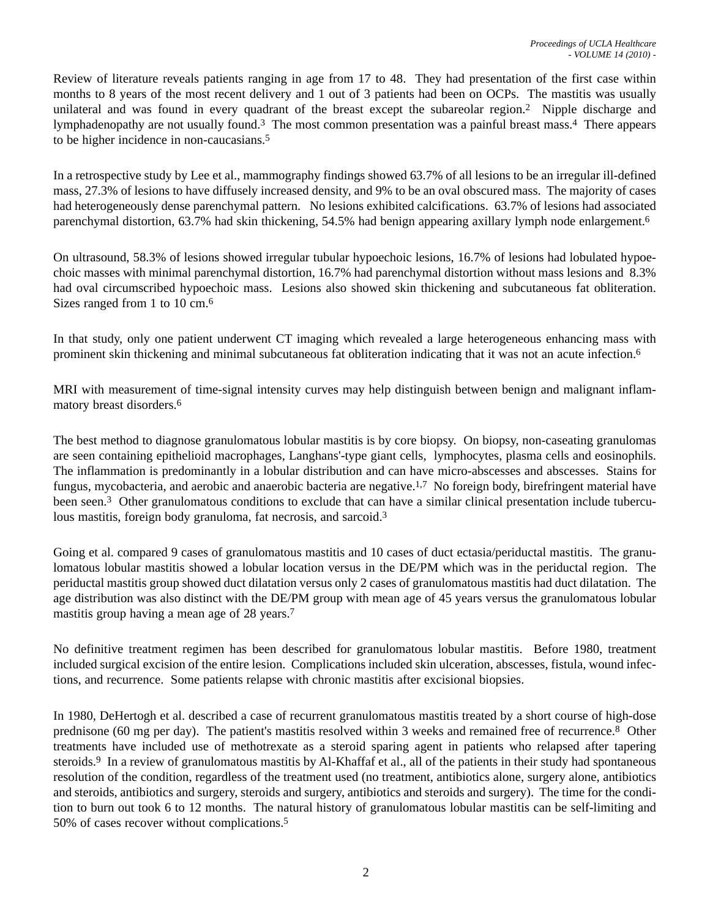Review of literature reveals patients ranging in age from 17 to 48. They had presentation of the first case within months to 8 years of the most recent delivery and 1 out of 3 patients had been on OCPs. The mastitis was usually unilateral and was found in every quadrant of the breast except the subareolar region.2 Nipple discharge and lymphadenopathy are not usually found.3 The most common presentation was a painful breast mass.4 There appears to be higher incidence in non-caucasians.5

In a retrospective study by Lee et al., mammography findings showed 63.7% of all lesions to be an irregular ill-defined mass, 27.3% of lesions to have diffusely increased density, and 9% to be an oval obscured mass. The majority of cases had heterogeneously dense parenchymal pattern. No lesions exhibited calcifications. 63.7% of lesions had associated parenchymal distortion, 63.7% had skin thickening, 54.5% had benign appearing axillary lymph node enlargement.6

On ultrasound, 58.3% of lesions showed irregular tubular hypoechoic lesions, 16.7% of lesions had lobulated hypoechoic masses with minimal parenchymal distortion, 16.7% had parenchymal distortion without mass lesions and 8.3% had oval circumscribed hypoechoic mass. Lesions also showed skin thickening and subcutaneous fat obliteration. Sizes ranged from 1 to 10 cm.<sup>6</sup>

In that study, only one patient underwent CT imaging which revealed a large heterogeneous enhancing mass with prominent skin thickening and minimal subcutaneous fat obliteration indicating that it was not an acute infection.6

MRI with measurement of time-signal intensity curves may help distinguish between benign and malignant inflammatory breast disorders.6

The best method to diagnose granulomatous lobular mastitis is by core biopsy. On biopsy, non-caseating granulomas are seen containing epithelioid macrophages, Langhans'-type giant cells, lymphocytes, plasma cells and eosinophils. The inflammation is predominantly in a lobular distribution and can have micro-abscesses and abscesses. Stains for fungus, mycobacteria, and aerobic and anaerobic bacteria are negative.1,7 No foreign body, birefringent material have been seen.3 Other granulomatous conditions to exclude that can have a similar clinical presentation include tuberculous mastitis, foreign body granuloma, fat necrosis, and sarcoid.<sup>3</sup>

Going et al. compared 9 cases of granulomatous mastitis and 10 cases of duct ectasia/periductal mastitis. The granulomatous lobular mastitis showed a lobular location versus in the DE/PM which was in the periductal region. The periductal mastitis group showed duct dilatation versus only 2 cases of granulomatous mastitis had duct dilatation. The age distribution was also distinct with the DE/PM group with mean age of 45 years versus the granulomatous lobular mastitis group having a mean age of 28 years.7

No definitive treatment regimen has been described for granulomatous lobular mastitis. Before 1980, treatment included surgical excision of the entire lesion. Complications included skin ulceration, abscesses, fistula, wound infections, and recurrence. Some patients relapse with chronic mastitis after excisional biopsies.

In 1980, DeHertogh et al. described a case of recurrent granulomatous mastitis treated by a short course of high-dose prednisone (60 mg per day). The patient's mastitis resolved within 3 weeks and remained free of recurrence.8 Other treatments have included use of methotrexate as a steroid sparing agent in patients who relapsed after tapering steroids.9 In a review of granulomatous mastitis by Al-Khaffaf et al., all of the patients in their study had spontaneous resolution of the condition, regardless of the treatment used (no treatment, antibiotics alone, surgery alone, antibiotics and steroids, antibiotics and surgery, steroids and surgery, antibiotics and steroids and surgery). The time for the condition to burn out took 6 to 12 months. The natural history of granulomatous lobular mastitis can be self-limiting and 50% of cases recover without complications.5